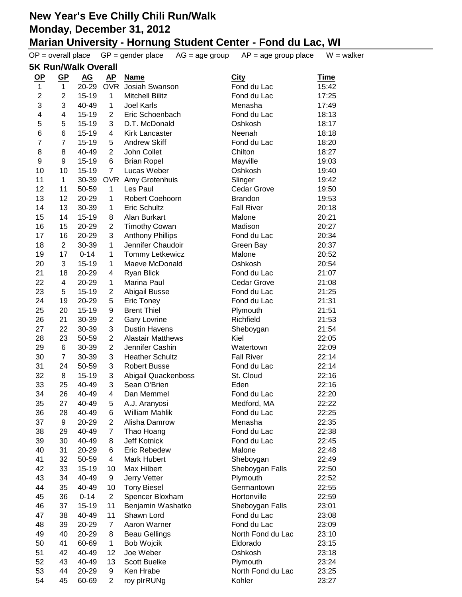| $OP = overall place$ |                            |                  |                                  | $GP = gender place$<br>$AG = age$ group | $AP = age$ group place | $W = walker$   |  |  |  |  |
|----------------------|----------------------------|------------------|----------------------------------|-----------------------------------------|------------------------|----------------|--|--|--|--|
|                      | <b>5K Run/Walk Overall</b> |                  |                                  |                                         |                        |                |  |  |  |  |
| <u>OP</u>            | $\underline{\mathsf{GP}}$  | $\underline{AG}$ | <u>AP</u>                        | <b>Name</b>                             | <b>City</b>            | <u>Time</u>    |  |  |  |  |
| 1                    | $\mathbf{1}$               | 20-29            | <b>OVR</b>                       | Josiah Swanson                          | Fond du Lac            | 15:42          |  |  |  |  |
| 2                    | $\overline{2}$             | $15 - 19$        | 1                                | <b>Mitchell Bilitz</b>                  | Fond du Lac            | 17:25          |  |  |  |  |
| 3                    | 3                          | 40-49            | 1                                | Joel Karls                              | Menasha                | 17:49          |  |  |  |  |
| 4                    | 4                          | 15-19            | 2                                | Eric Schoenbach                         | Fond du Lac            | 18:13          |  |  |  |  |
| 5                    | 5                          | 15-19            | 3                                | D.T. McDonald                           | Oshkosh                | 18:17          |  |  |  |  |
| 6                    | 6                          | $15 - 19$        | 4                                | <b>Kirk Lancaster</b>                   | Neenah                 | 18:18          |  |  |  |  |
| 7                    | 7                          | 15-19            | 5                                | <b>Andrew Skiff</b>                     | Fond du Lac            | 18:20          |  |  |  |  |
| 8                    | 8                          | 40-49            | $\overline{2}$                   | John Collet                             | Chilton                | 18:27          |  |  |  |  |
| 9                    | $\boldsymbol{9}$           | 15-19            | $\,6$                            | <b>Brian Ropel</b>                      | Mayville               | 19:03          |  |  |  |  |
| 10                   | 10                         | 15-19            | $\overline{7}$                   | Lucas Weber                             | Oshkosh                | 19:40          |  |  |  |  |
| 11                   | 1                          | 30-39            |                                  | OVR Amy Grotenhuis                      | Slinger                | 19:42          |  |  |  |  |
| 12                   | 11                         | 50-59            | $\mathbf{1}$                     | Les Paul                                | Cedar Grove            | 19:50          |  |  |  |  |
| 13                   | 12                         | 20-29            | 1                                | Robert Coehoorn                         | <b>Brandon</b>         | 19:53          |  |  |  |  |
| 14                   | 13                         | 30-39            | 1                                | Eric Schultz                            | <b>Fall River</b>      | 20:18          |  |  |  |  |
| 15                   | 14                         | 15-19            | 8                                | Alan Burkart                            | Malone                 | 20:21          |  |  |  |  |
| 16                   | 15                         | 20-29            | $\overline{2}$                   | <b>Timothy Cowan</b>                    | Madison                | 20:27          |  |  |  |  |
| 17                   | 16                         | 20-29            | 3                                | <b>Anthony Phillips</b>                 | Fond du Lac            | 20:34          |  |  |  |  |
| 18                   | $\mathbf{2}$               | 30-39            | 1                                | Jennifer Chaudoir                       | Green Bay              | 20:37          |  |  |  |  |
| 19                   | 17                         | $0 - 14$         | 1                                | <b>Tommy Letkewicz</b>                  | Malone                 | 20:52          |  |  |  |  |
| 20                   | 3                          | $15 - 19$        | 1                                | Maeve McDonald                          | Oshkosh                | 20:54          |  |  |  |  |
| 21                   | 18                         | 20-29            | 4                                | <b>Ryan Blick</b>                       | Fond du Lac            | 21:07          |  |  |  |  |
| 22                   | $\overline{\mathbf{4}}$    | 20-29            | 1                                | Marina Paul                             | Cedar Grove            | 21:08          |  |  |  |  |
| 23                   | 5                          | 15-19            | 2                                | Abigail Busse                           | Fond du Lac            | 21:25          |  |  |  |  |
| 24                   | 19                         | 20-29            | 5                                | Eric Toney                              | Fond du Lac            | 21:31          |  |  |  |  |
| 25                   | 20                         | 15-19            | 9                                | <b>Brent Thiel</b>                      | Plymouth               | 21:51          |  |  |  |  |
| 26                   | 21                         | 30-39            | $\overline{2}$                   | <b>Gary Lovrine</b>                     | Richfield              | 21:53          |  |  |  |  |
| 27                   | 22                         | 30-39            | 3                                | <b>Dustin Havens</b>                    | Sheboygan              | 21:54          |  |  |  |  |
| 28                   | 23                         | 50-59            | 2                                | <b>Alastair Matthews</b>                | Kiel                   | 22:05          |  |  |  |  |
| 29                   | $\,6$                      | 30-39            | $\overline{2}$                   | Jennifer Cashin                         | Watertown              | 22:09          |  |  |  |  |
| 30                   | $\overline{7}$             | 30-39            | 3                                | <b>Heather Schultz</b>                  | <b>Fall River</b>      | 22:14          |  |  |  |  |
| 31                   | 24                         | 50-59            | 3                                | <b>Robert Busse</b>                     | Fond du Lac            | 22:14          |  |  |  |  |
| 32                   | 8                          | 15-19            | 3                                | Abigail Quackenboss                     | St. Cloud              | 22:16          |  |  |  |  |
| 33                   | 25                         | 40-49            | 3                                | Sean O'Brien                            | Eden                   | 22:16          |  |  |  |  |
| 34                   | 26                         | 40-49            | 4                                | Dan Memmel                              | Fond du Lac            | 22:20          |  |  |  |  |
| 35                   | 27                         | 40-49            | 5                                | A.J. Aranyosi                           | Medford, MA            | 22:22          |  |  |  |  |
| 36                   | 28                         | 40-49            | 6                                | William Mahlik                          | Fond du Lac<br>Menasha | 22:25          |  |  |  |  |
| 37                   | 9                          | 20-29<br>40-49   | $\overline{2}$<br>$\overline{7}$ | Alisha Damrow                           | Fond du Lac            | 22:35          |  |  |  |  |
| 38<br>39             | 29<br>30                   | 40-49            | 8                                | Thao Hoang<br>Jeff Kotnick              | Fond du Lac            | 22:38<br>22:45 |  |  |  |  |
| 40                   | 31                         | 20-29            | 6                                | Eric Rebedew                            | Malone                 | 22:48          |  |  |  |  |
| 41                   | 32                         | 50-59            | $\overline{\mathbf{4}}$          | <b>Mark Hubert</b>                      | Sheboygan              | 22:49          |  |  |  |  |
| 42                   | 33                         | 15-19            | 10                               | Max Hilbert                             | Sheboygan Falls        | 22:50          |  |  |  |  |
| 43                   | 34                         | 40-49            | 9                                | Jerry Vetter                            | Plymouth               | 22:52          |  |  |  |  |
| 44                   | 35                         | 40-49            | 10                               | <b>Tony Biesel</b>                      | Germantown             | 22:55          |  |  |  |  |
| 45                   | 36                         | $0 - 14$         | $\overline{2}$                   | Spencer Bloxham                         | Hortonville            | 22:59          |  |  |  |  |
| 46                   | 37                         | 15-19            | 11                               | Benjamin Washatko                       | Sheboygan Falls        | 23:01          |  |  |  |  |
| 47                   | 38                         | 40-49            | 11                               | Shawn Lord                              | Fond du Lac            | 23:08          |  |  |  |  |
| 48                   | 39                         | 20-29            | 7                                | Aaron Warner                            | Fond du Lac            | 23:09          |  |  |  |  |
| 49                   | 40                         | 20-29            | 8                                | <b>Beau Gellings</b>                    | North Fond du Lac      | 23:10          |  |  |  |  |
| 50                   | 41                         | 60-69            | 1                                | <b>Bob Wojcik</b>                       | Eldorado               | 23:15          |  |  |  |  |
| 51                   | 42                         | 40-49            | 12                               | Joe Weber                               | Oshkosh                | 23:18          |  |  |  |  |
| 52                   | 43                         | 40-49            | 13                               | Scott Buelke                            | Plymouth               | 23:24          |  |  |  |  |
| 53                   | 44                         | 20-29            | 9                                | Ken Hrabe                               | North Fond du Lac      | 23:25          |  |  |  |  |
| 54                   | 45                         | 60-69            | $\overline{2}$                   | roy plrRUNg                             | Kohler                 | 23:27          |  |  |  |  |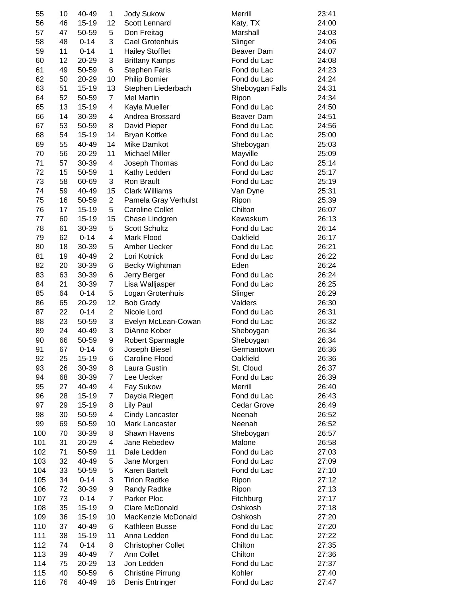| 55  | 10       | 40-49     | 1              | <b>Jody Sukow</b>         | Merrill         | 23:41 |
|-----|----------|-----------|----------------|---------------------------|-----------------|-------|
| 56  | 46       | $15 - 19$ | 12             | Scott Lennard             | Katy, TX        | 24:00 |
| 57  | 47       | 50-59     | 5              | Don Freitag               | Marshall        | 24:03 |
| 58  | 48       | $0 - 14$  | 3              | Cael Grotenhuis           | Slinger         | 24:06 |
| 59  | 11       | $0 - 14$  | 1              | <b>Hailey Stofflet</b>    | Beaver Dam      | 24:07 |
| 60  | 12       | 20-29     | 3              | <b>Brittany Kamps</b>     | Fond du Lac     | 24:08 |
| 61  | 49       | 50-59     | 6              | <b>Stephen Faris</b>      | Fond du Lac     | 24:23 |
| 62  | 50       | 20-29     | 10             | <b>Philip Bomier</b>      | Fond du Lac     | 24:24 |
| 63  | 51       | $15 - 19$ | 13             | Stephen Liederbach        | Sheboygan Falls | 24:31 |
| 64  | 52       | 50-59     | $\overline{7}$ | <b>Mel Martin</b>         | Ripon           | 24:34 |
| 65  | 13       | $15 - 19$ | 4              | Kayla Mueller             | Fond du Lac     | 24:50 |
| 66  | 14       | 30-39     | 4              | Andrea Brossard           | Beaver Dam      | 24:51 |
| 67  | 53       | 50-59     | 8              | David Pieper              | Fond du Lac     | 24:56 |
| 68  | 54       | 15-19     | 14             | <b>Bryan Kottke</b>       | Fond du Lac     | 25:00 |
| 69  | 55       | 40-49     | 14             | Mike Damkot               | Sheboygan       | 25:03 |
| 70  | 56       | 20-29     | 11             | <b>Michael Miller</b>     | Mayville        | 25:09 |
| 71  | 57       | 30-39     | 4              | Joseph Thomas             | Fond du Lac     | 25:14 |
| 72  | 15       | 50-59     | 1              | Kathy Ledden              | Fond du Lac     | 25:17 |
| 73  | 58       | 60-69     | 3              | Ron Brault                | Fond du Lac     | 25:19 |
| 74  | 59       | 40-49     | 15             | <b>Clark Williams</b>     | Van Dyne        | 25:31 |
| 75  | 16       | 50-59     | $\overline{2}$ | Pamela Gray Verhulst      | Ripon           | 25:39 |
| 76  | 17       | $15 - 19$ | 5              | <b>Caroline Collet</b>    | Chilton         | 26:07 |
| 77  | 60       | 15-19     | 15             | Chase Lindgren            | Kewaskum        | 26:13 |
| 78  | 61       | 30-39     | 5              | <b>Scott Schultz</b>      | Fond du Lac     | 26:14 |
| 79  | 62       | $0 - 14$  | 4              | Mark Flood                | Oakfield        | 26:17 |
| 80  | 18       | 30-39     | 5              | Amber Uecker              | Fond du Lac     | 26:21 |
| 81  | 19       | 40-49     | $\overline{2}$ | Lori Kotnick              | Fond du Lac     | 26:22 |
| 82  | 20       | 30-39     | 6              |                           | Eden            | 26:24 |
| 83  |          |           | 6              | Becky Wightman            | Fond du Lac     |       |
|     | 63<br>21 | 30-39     | $\overline{7}$ | Jerry Berger              |                 | 26:24 |
| 84  |          | 30-39     |                | Lisa Walljasper           | Fond du Lac     | 26:25 |
| 85  | 64       | $0 - 14$  | 5              | Logan Grotenhuis          | Slinger         | 26:29 |
| 86  | 65       | 20-29     | 12             | <b>Bob Grady</b>          | Valders         | 26:30 |
| 87  | 22       | $0 - 14$  | $\overline{2}$ | Nicole Lord               | Fond du Lac     | 26:31 |
| 88  | 23       | 50-59     | 3              | Evelyn McLean-Cowan       | Fond du Lac     | 26:32 |
| 89  | 24       | 40-49     | 3              | DiAnne Kober              | Sheboygan       | 26:34 |
| 90  | 66       | 50-59     | 9              | Robert Spannagle          | Sheboygan       | 26:34 |
| 91  | 67       | $0 - 14$  | 6              | Joseph Biesel             | Germantown      | 26:36 |
| 92  | 25       | 15-19     | 6              | Caroline Flood            | Oakfield        | 26:36 |
| 93  | 26       | 30-39     | 8              | Laura Gustin              | St. Cloud       | 26:37 |
| 94  | 68       | 30-39     | $\overline{7}$ | Lee Uecker                | Fond du Lac     | 26:39 |
| 95  | 27       | 40-49     | 4              | Fay Sukow                 | Merrill         | 26:40 |
| 96  | 28       | $15 - 19$ | 7              | Daycia Riegert            | Fond du Lac     | 26:43 |
| 97  | 29       | 15-19     | 8              | Lily Paul                 | Cedar Grove     | 26:49 |
| 98  | 30       | 50-59     | 4              | <b>Cindy Lancaster</b>    | Neenah          | 26:52 |
| 99  | 69       | 50-59     | 10             | Mark Lancaster            | Neenah          | 26:52 |
| 100 | 70       | 30-39     | 8              | Shawn Havens              | Sheboygan       | 26:57 |
| 101 | 31       | 20-29     | 4              | Jane Rebedew              | Malone          | 26:58 |
| 102 | 71       | 50-59     | 11             | Dale Ledden               | Fond du Lac     | 27:03 |
| 103 | 32       | 40-49     | 5              | Jane Morgen               | Fond du Lac     | 27:09 |
| 104 | 33       | 50-59     | 5              | Karen Bartelt             | Fond du Lac     | 27:10 |
| 105 | 34       | $0 - 14$  | 3              | <b>Tirion Radtke</b>      | Ripon           | 27:12 |
| 106 | 72       | 30-39     | 9              | <b>Randy Radtke</b>       | Ripon           | 27:13 |
| 107 | 73       | $0 - 14$  | $\overline{7}$ | Parker Ploc               | Fitchburg       | 27:17 |
| 108 | 35       | 15-19     | 9              | Clare McDonald            | Oshkosh         | 27:18 |
| 109 | 36       | 15-19     | 10             | MacKenzie McDonald        | Oshkosh         | 27:20 |
| 110 | 37       | 40-49     | 6              | Kathleen Busse            | Fond du Lac     | 27:20 |
| 111 | 38       | $15 - 19$ | 11             | Anna Ledden               | Fond du Lac     | 27:22 |
| 112 | 74       | $0 - 14$  | 8              | <b>Christopher Collet</b> | Chilton         | 27:35 |
| 113 | 39       | 40-49     | $\overline{7}$ | Ann Collet                | Chilton         | 27:36 |
| 114 | 75       | 20-29     | 13             | Jon Ledden                | Fond du Lac     | 27:37 |
| 115 | 40       | 50-59     | 6              | <b>Christine Pirrung</b>  | Kohler          | 27:40 |
| 116 | 76       | 40-49     | 16             | Denis Entringer           | Fond du Lac     | 27:47 |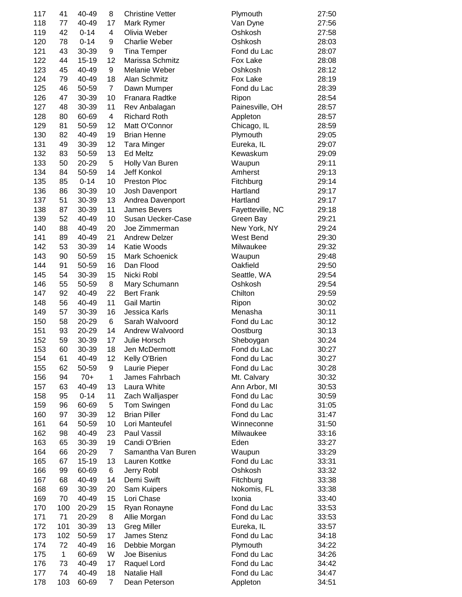| 117 | 41       | 40-49          | 8                       | <b>Christine Vetter</b>            | Plymouth               | 27:50          |
|-----|----------|----------------|-------------------------|------------------------------------|------------------------|----------------|
| 118 | 77       | 40-49          | 17                      | Mark Rymer                         | Van Dyne               | 27:56          |
| 119 | 42       | $0 - 14$       | $\overline{\mathbf{4}}$ | Olivia Weber                       | Oshkosh                | 27:58          |
| 120 | 78       | $0 - 14$       | 9                       | <b>Charlie Weber</b>               | Oshkosh                | 28:03          |
| 121 | 43       | 30-39          | 9                       | <b>Tina Temper</b>                 | Fond du Lac            | 28:07          |
| 122 | 44       | 15-19          | 12                      | Marissa Schmitz                    | Fox Lake               | 28:08          |
| 123 | 45       | 40-49          | 9                       | Melanie Weber                      | Oshkosh                | 28:12          |
| 124 | 79       | 40-49          | 18                      | Alan Schmitz                       | Fox Lake               | 28:19          |
| 125 | 46       | 50-59          | $\overline{7}$          | Dawn Mumper                        | Fond du Lac            | 28:39          |
| 126 | 47       | 30-39          | 10                      | Franara Radtke                     | Ripon                  | 28:54          |
| 127 | 48       | 30-39          | 11                      | Rev Anbalagan                      | Painesville, OH        | 28:57          |
| 128 | 80       | 60-69          | $\overline{4}$          | <b>Richard Roth</b>                | Appleton               | 28:57          |
| 129 | 81       | 50-59          | 12                      | Matt O'Connor                      | Chicago, IL            | 28:59          |
| 130 | 82       | 40-49          | 19                      | <b>Brian Henne</b>                 | Plymouth               | 29:05          |
| 131 | 49       | 30-39          | 12                      | <b>Tara Minger</b>                 | Eureka, IL             | 29:07          |
| 132 | 83       | 50-59          | 13                      | Ed Meltz                           | Kewaskum               | 29:09          |
| 133 | 50       | 20-29          | 5                       | Holly Van Buren                    | Waupun                 | 29:11          |
| 134 | 84       | 50-59          | 14                      | Jeff Konkol                        | Amherst                | 29:13          |
| 135 | 85       | $0 - 14$       | 10                      | <b>Preston Ploc</b>                | Fitchburg              | 29:14          |
| 136 | 86       | 30-39          | 10                      | Josh Davenport                     | Hartland               | 29:17          |
| 137 | 51       | 30-39          | 13                      | Andrea Davenport                   | Hartland               | 29:17          |
| 138 | 87       | 30-39          | 11                      | <b>James Bevers</b>                | Fayetteville, NC       | 29:18          |
| 139 | 52       | 40-49          | 10                      | Susan Uecker-Case                  | Green Bay              | 29:21          |
| 140 | 88       | 40-49          | 20                      | Joe Zimmerman                      | New York, NY           | 29:24          |
| 141 | 89       | 40-49          | 21                      | <b>Andrew Delzer</b>               | West Bend              | 29:30          |
| 142 | 53       | 30-39          | 14                      | Katie Woods                        | Milwaukee              | 29:32          |
| 143 | 90       | 50-59          | 15                      | Mark Schoenick                     | Waupun                 | 29:48          |
| 144 | 91       | 50-59          | 16                      | Dan Flood                          | Oakfield               | 29:50          |
| 145 | 54       | 30-39          | 15                      | Nicki Robl                         |                        | 29:54          |
| 146 | 55       | 50-59          | 8                       |                                    | Seattle, WA<br>Oshkosh | 29:54          |
| 147 | 92       | 40-49          | 22                      | Mary Schumann<br><b>Bert Frank</b> | Chilton                | 29:59          |
|     | 56       | 40-49          | 11                      | <b>Gail Martin</b>                 |                        |                |
| 148 | 57       | 30-39          |                         |                                    | Ripon                  | 30:02          |
| 149 |          | 20-29          | 16<br>6                 | Jessica Karls                      | Menasha                | 30:11<br>30:12 |
| 150 | 58       |                |                         | Sarah Walvoord                     | Fond du Lac            | 30:13          |
| 151 | 93       | 20-29          | 14                      | Andrew Walvoord<br>Julie Horsch    | Oostburg               |                |
| 152 | 59<br>60 | 30-39          | 17<br>18                |                                    | Sheboygan              | 30:24<br>30:27 |
| 153 |          | 30-39          |                         | Jen McDermott                      | Fond du Lac            |                |
| 154 | 61       | 40-49<br>50-59 | 12                      | Kelly O'Brien                      | Fond du Lac            | 30:27          |
| 155 | 62       |                | 9                       | Laurie Pieper                      | Fond du Lac            | 30:28          |
| 156 | 94       | $70+$          | 1                       | James Fahrbach                     | Mt. Calvary            | 30:32          |
| 157 | 63       | 40-49          | 13                      | Laura White                        | Ann Arbor, MI          | 30:53          |
| 158 | 95       | $0 - 14$       | 11                      | Zach Walljasper                    | Fond du Lac            | 30:59          |
| 159 | 96       | 60-69          | 5                       | Tom Swingen                        | Fond du Lac            | 31:05          |
| 160 | 97       | 30-39          | 12                      | <b>Brian Piller</b>                | Fond du Lac            | 31:47          |
| 161 | 64       | 50-59          | 10                      | Lori Manteufel                     | Winneconne             | 31:50          |
| 162 | 98       | 40-49          | 23                      | Paul Vassil                        | Milwaukee              | 33:16          |
| 163 | 65       | 30-39          | 19                      | Candi O'Brien                      | Eden                   | 33:27          |
| 164 | 66       | 20-29          | $\overline{7}$          | Samantha Van Buren                 | Waupun                 | 33:29          |
| 165 | 67       | 15-19          | 13                      | Lauren Kottke                      | Fond du Lac            | 33:31          |
| 166 | 99       | 60-69          | 6                       | Jerry Robl                         | Oshkosh                | 33:32          |
| 167 | 68       | 40-49          | 14                      | Demi Swift                         | Fitchburg              | 33:38          |
| 168 | 69       | 30-39          | 20                      | Sam Kuipers                        | Nokomis, FL            | 33:38          |
| 169 | 70       | 40-49          | 15                      | Lori Chase                         | Ixonia                 | 33:40          |
| 170 | 100      | 20-29          | 15                      | Ryan Ronayne                       | Fond du Lac            | 33:53          |
| 171 | 71       | 20-29          | 8                       | Allie Morgan                       | Fond du Lac            | 33:53          |
| 172 | 101      | 30-39          | 13                      | <b>Greg Miller</b>                 | Eureka, IL             | 33:57          |
| 173 | 102      | 50-59          | 17                      | James Stenz                        | Fond du Lac            | 34:18          |
| 174 | 72       | 40-49          | 16                      | Debbie Morgan                      | Plymouth               | 34:22          |
| 175 | 1        | 60-69          | W                       | Joe Bisenius                       | Fond du Lac            | 34:26          |
| 176 | 73       | 40-49          | 17                      | Raquel Lord                        | Fond du Lac            | 34:42          |
| 177 | 74       | 40-49          | 18                      | Natalie Hall                       | Fond du Lac            | 34:47          |
| 178 | 103      | 60-69          | $\overline{7}$          | Dean Peterson                      | Appleton               | 34:51          |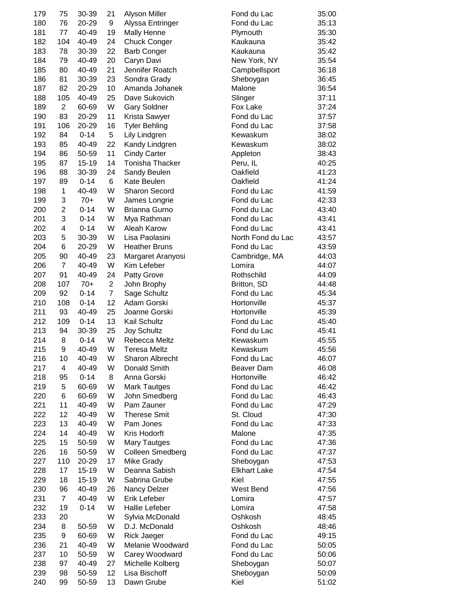| 179 | 75                   | 30-39    | 21             | Alyson Miller        | Fond du Lac                      | 35:00 |
|-----|----------------------|----------|----------------|----------------------|----------------------------------|-------|
| 180 | 76                   | 20-29    | 9              | Alyssa Entringer     | Fond du Lac                      | 35:13 |
| 181 | 77                   | 40-49    | 19             | Mally Henne          | Plymouth                         | 35:30 |
| 182 | 104                  | 40-49    | 24             | <b>Chuck Conger</b>  | Kaukauna                         | 35:42 |
| 183 | 78                   | 30-39    | 22             | <b>Barb Conger</b>   | Kaukauna                         | 35:42 |
| 184 | 79                   | 40-49    | 20             | Caryn Davi           | New York, NY                     | 35:54 |
| 185 | 80                   | 40-49    | 21             | Jennifer Roatch      | Campbellsport                    | 36:18 |
| 186 | 81                   | 30-39    | 23             | Sondra Grady         | Sheboygan                        | 36:45 |
| 187 | 82                   | 20-29    | 10             | Amanda Johanek       | Malone                           | 36:54 |
| 188 | 105                  | 40-49    | 25             | Dave Sukovich        | Slinger                          | 37:11 |
| 189 | $\overline{2}$       | 60-69    | W              | <b>Gary Soldner</b>  | Fox Lake                         | 37:24 |
| 190 | 83                   | 20-29    | 11             | Krista Sawyer        | Fond du Lac                      | 37:57 |
| 191 | 106                  | 20-29    | 16             | <b>Tyler Behling</b> | Fond du Lac                      | 37:58 |
| 192 | 84                   | $0 - 14$ | 5              | Lily Lindgren        | Kewaskum                         | 38:02 |
| 193 | 85                   | 40-49    | 22             | Kandy Lindgren       | Kewaskum                         | 38:02 |
| 194 | 86                   | 50-59    | 11             | <b>Cindy Carter</b>  | Appleton                         | 38:43 |
| 195 | 87                   | 15-19    | 14             | Tonisha Thacker      | Peru, IL                         | 40:25 |
| 196 | 88                   | 30-39    | 24             | Sandy Beulen         | Oakfield                         | 41:23 |
| 197 | 89                   | $0 - 14$ | 6              | Kate Beulen          | Oakfield                         | 41:24 |
| 198 | 1                    | 40-49    | W              | <b>Sharon Secord</b> | Fond du Lac                      | 41:59 |
| 199 | 3                    | $70+$    | W              | James Longrie        | Fond du Lac                      | 42:33 |
| 200 | 2                    | $0 - 14$ | W              | <b>Brianna Gurno</b> | Fond du Lac                      | 43:40 |
| 201 | 3                    | $0 - 14$ | W              | Mya Rathman          | Fond du Lac                      | 43:41 |
| 202 | 4                    | $0 - 14$ | W              | Aleah Karow          | Fond du Lac                      | 43:41 |
| 203 | 5                    | 30-39    | W              | Lisa Paolasini       | North Fond du Lac                | 43:57 |
| 204 | 6                    | 20-29    | W              | <b>Heather Bruns</b> | Fond du Lac                      | 43:59 |
| 205 | 90                   | 40-49    | 23             | Margaret Aranyosi    | Cambridge, MA                    | 44:03 |
| 206 | $\overline{7}$       | 40-49    | W              | Kim Lefeber          | Lomira                           | 44:07 |
| 207 | 91                   | 40-49    | 24             | Patty Grove          | Rothschild                       | 44:09 |
| 208 | 107                  | $70+$    | $\overline{2}$ | John Brophy          | Britton, SD                      | 44:48 |
| 209 | 92                   | $0 - 14$ | $\overline{7}$ | Sage Schultz         | Fond du Lac                      | 45:34 |
| 210 | 108                  | $0 - 14$ | 12             | Adam Gorski          | Hortonville                      | 45:37 |
| 211 | 93                   | 40-49    | 25             | Joanne Gorski        | Hortonville                      | 45:39 |
| 212 | 109                  | $0 - 14$ | 13             | Kail Schultz         | Fond du Lac                      | 45:40 |
| 213 | 94                   | 30-39    | 25             | <b>Joy Schultz</b>   | Fond du Lac                      | 45:41 |
| 214 | 8                    | $0 - 14$ | W              | Rebecca Meltz        | Kewaskum                         | 45:55 |
| 215 | 9                    | 40-49    | W              | Teresa Meltz         | Kewaskum                         | 45:56 |
| 216 | 10                   | 40-49    | W              | Sharon Albrecht      | Fond du Lac                      | 46:07 |
| 217 | 4                    | 40-49    | W              | Donald Smith         | Beaver Dam                       | 46:08 |
| 218 | 95                   | $0 - 14$ | 8              | Anna Gorski          | Hortonville                      | 46:42 |
| 219 | 5                    | 60-69    | W              | <b>Mark Tautges</b>  | Fond du Lac                      | 46:42 |
| 220 | 6                    | 60-69    | W              | John Smedberg        | Fond du Lac                      | 46:43 |
| 221 | 11                   | 40-49    | W              | Pam Zauner           | Fond du Lac                      | 47:29 |
| 222 | 12                   | 40-49    | W              | <b>Therese Smit</b>  | St. Cloud                        | 47:30 |
| 223 | 13                   | 40-49    | W              | Pam Jones            | Fond du Lac                      | 47:33 |
| 224 | 14                   | 40-49    | W              | Kris Hodorft         | Malone                           | 47:35 |
| 225 | 15                   | 50-59    | W              | Mary Tautges         | Fond du Lac                      | 47:36 |
| 226 | 16                   | 50-59    | W              | Colleen Smedberg     | Fond du Lac                      | 47:37 |
| 227 | 110                  | 20-29    | 17             | Mike Grady           |                                  | 47:53 |
| 228 | 17                   | 15-19    | W              | Deanna Sabish        | Sheboygan<br><b>Elkhart Lake</b> | 47:54 |
|     |                      |          |                |                      | Kiel                             |       |
| 229 | 18                   | 15-19    | W              | Sabrina Grube        |                                  | 47:55 |
| 230 | 96<br>$\overline{7}$ | 40-49    | 26             | Nancy Delzer         | West Bend                        | 47:56 |
| 231 |                      | 40-49    | W              | Erik Lefeber         | Lomira                           | 47:57 |
| 232 | 19                   | $0 - 14$ | W              | Hallie Lefeber       | Lomira                           | 47:58 |
| 233 | 20                   |          | W              | Sylvia McDonald      | Oshkosh                          | 48:45 |
| 234 | 8                    | 50-59    | W              | D.J. McDonald        | Oshkosh                          | 48:46 |
| 235 | 9                    | 60-69    | W              | <b>Rick Jaeger</b>   | Fond du Lac                      | 49:15 |
| 236 | 21                   | 40-49    | W              | Melanie Woodward     | Fond du Lac                      | 50:05 |
| 237 | 10                   | 50-59    | W              | Carey Woodward       | Fond du Lac                      | 50:06 |
| 238 | 97                   | 40-49    | 27             | Michelle Kolberg     | Sheboygan                        | 50:07 |
| 239 | 98                   | 50-59    | 12             | Lisa Bischoff        | Sheboygan                        | 50:09 |
| 240 | 99                   | 50-59    | 13             | Dawn Grube           | Kiel                             | 51:02 |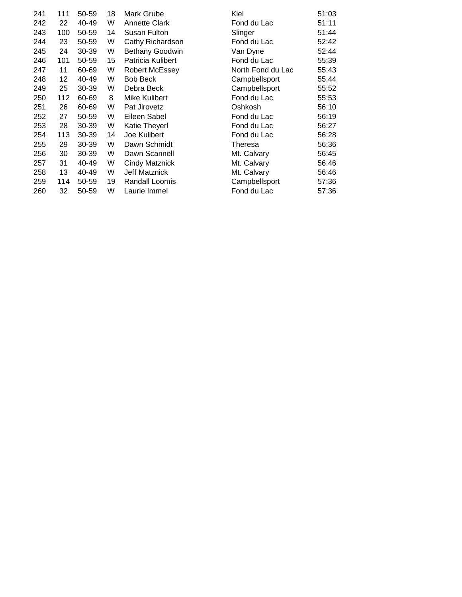| 241 | 111 | 50-59 | 18 | Mark Grube            | Kiel              | 51:03 |
|-----|-----|-------|----|-----------------------|-------------------|-------|
| 242 | 22  | 40-49 | W  | <b>Annette Clark</b>  | Fond du Lac       | 51:11 |
| 243 | 100 | 50-59 | 14 | Susan Fulton          | Slinger           | 51:44 |
| 244 | 23  | 50-59 | W  | Cathy Richardson      | Fond du Lac       | 52:42 |
| 245 | 24  | 30-39 | W  | Bethany Goodwin       | Van Dyne          | 52:44 |
| 246 | 101 | 50-59 | 15 | Patricia Kulibert     | Fond du Lac       | 55:39 |
| 247 | 11  | 60-69 | W  | <b>Robert McEssey</b> | North Fond du Lac | 55:43 |
| 248 | 12  | 40-49 | W  | <b>Bob Beck</b>       | Campbellsport     | 55:44 |
| 249 | 25  | 30-39 | W  | Debra Beck            | Campbellsport     | 55:52 |
| 250 | 112 | 60-69 | 8  | Mike Kulibert         | Fond du Lac       | 55:53 |
| 251 | 26  | 60-69 | W  | Pat Jirovetz          | Oshkosh           | 56:10 |
| 252 | 27  | 50-59 | W  | Eileen Sabel          | Fond du Lac       | 56:19 |
| 253 | 28  | 30-39 | W  | <b>Katie Theyerl</b>  | Fond du Lac       | 56:27 |
| 254 | 113 | 30-39 | 14 | Joe Kulibert          | Fond du Lac       | 56:28 |
| 255 | 29  | 30-39 | W  | Dawn Schmidt          | Theresa           | 56:36 |
| 256 | 30  | 30-39 | W  | Dawn Scannell         | Mt. Calvary       | 56:45 |
| 257 | 31  | 40-49 | W  | <b>Cindy Matznick</b> | Mt. Calvary       | 56:46 |
| 258 | 13  | 40-49 | W  | Jeff Matznick         | Mt. Calvary       | 56:46 |
| 259 | 114 | 50-59 | 19 | Randall Loomis        | Campbellsport     | 57:36 |
| 260 | 32  | 50-59 | W  | Laurie Immel          | Fond du Lac       | 57:36 |
|     |     |       |    |                       |                   |       |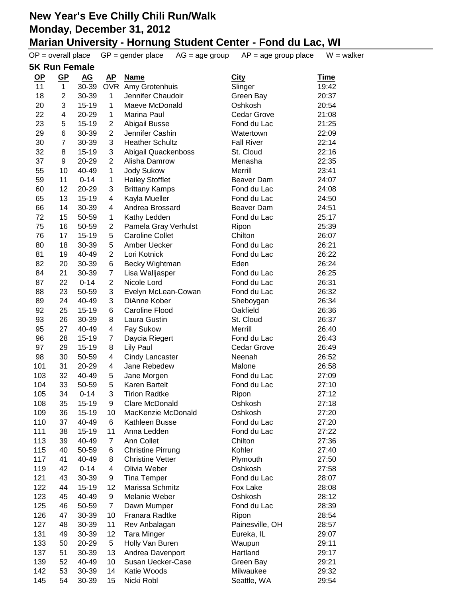|            | $OP = overall place$      |                  |                      | $GP = gender place$<br>$AG = age$ group             | $AP = age$ group place | $W = walker$   |
|------------|---------------------------|------------------|----------------------|-----------------------------------------------------|------------------------|----------------|
|            | <b>5K Run Female</b>      |                  |                      |                                                     |                        |                |
| <u>OP</u>  | $\underline{\mathsf{GP}}$ | $\underline{AG}$ | <u>AP</u>            | <b>Name</b>                                         | <b>City</b>            | <u>Time</u>    |
| 11         | $\mathbf{1}$              | 30-39            |                      | OVR Amy Grotenhuis                                  | Slinger                | 19:42          |
| 18         | 2                         | 30-39            | 1                    | Jennifer Chaudoir                                   | Green Bay              | 20:37          |
| 20         | 3                         | $15 - 19$        | $\mathbf 1$          | Maeve McDonald                                      | Oshkosh                | 20:54          |
| 22         | 4                         | 20-29            | $\mathbf{1}$         | Marina Paul                                         | <b>Cedar Grove</b>     | 21:08          |
| 23         | 5                         | $15 - 19$        | $\overline{c}$       | Abigail Busse                                       | Fond du Lac            | 21:25          |
| 29         | 6                         | 30-39            | 2                    | Jennifer Cashin                                     | Watertown              | 22:09          |
| 30         | $\overline{7}$            | 30-39            | 3                    | <b>Heather Schultz</b>                              | <b>Fall River</b>      | 22:14          |
| 32         | 8                         | $15 - 19$        | 3                    | Abigail Quackenboss                                 | St. Cloud              | 22:16          |
| 37         | 9                         | 20-29            | $\overline{2}$       | Alisha Damrow                                       | Menasha                | 22:35          |
| 55         | 10                        | 40-49            | 1                    | <b>Jody Sukow</b>                                   | Merrill                | 23:41          |
| 59         | 11                        | $0 - 14$         | 1                    | <b>Hailey Stofflet</b>                              | <b>Beaver Dam</b>      | 24:07          |
| 60         | 12                        | 20-29            | 3                    | <b>Brittany Kamps</b>                               | Fond du Lac            | 24:08          |
| 65         | 13                        | 15-19            | 4                    | Kayla Mueller                                       | Fond du Lac            | 24:50          |
| 66         | 14                        | 30-39            | 4                    | Andrea Brossard                                     | Beaver Dam             | 24:51          |
| 72         | 15                        | 50-59            | 1                    | Kathy Ledden                                        | Fond du Lac            | 25:17          |
| 75         | 16                        | 50-59            | $\overline{c}$       | Pamela Gray Verhulst                                | Ripon                  | 25:39          |
| 76         | 17                        | $15 - 19$        | 5                    | <b>Caroline Collet</b>                              | Chilton                | 26:07          |
| 80         | 18                        | 30-39            | 5                    | Amber Uecker                                        | Fond du Lac            | 26:21          |
| 81         | 19                        | 40-49            | $\overline{2}$       | Lori Kotnick                                        | Fond du Lac            | 26:22          |
| 82         | 20                        | 30-39            | 6                    | Becky Wightman                                      | Eden                   | 26:24          |
| 84         | 21                        | 30-39            | $\overline{7}$       | Lisa Walljasper                                     | Fond du Lac            | 26:25          |
| 87         | 22                        | $0 - 14$         | $\overline{2}$       | Nicole Lord                                         | Fond du Lac            | 26:31          |
| 88         | 23                        | 50-59            | 3                    | Evelyn McLean-Cowan                                 | Fond du Lac            | 26:32          |
| 89         | 24                        | 40-49            | 3                    | DiAnne Kober                                        | Sheboygan              | 26:34          |
| 92         | 25                        | $15 - 19$        | 6                    | Caroline Flood                                      | Oakfield               | 26:36          |
| 93         | 26                        | 30-39            | 8                    | Laura Gustin                                        | St. Cloud              | 26:37          |
| 95         | 27                        | 40-49            | 4                    | Fay Sukow                                           | Merrill                | 26:40          |
| 96         | 28                        | $15 - 19$        | 7                    | Daycia Riegert                                      | Fond du Lac            | 26:43          |
| 97         | 29                        | $15 - 19$        | 8                    | <b>Lily Paul</b>                                    | Cedar Grove            | 26:49          |
| 98         | 30                        | 50-59            | 4                    | <b>Cindy Lancaster</b>                              | Neenah                 | 26:52          |
| 101        | 31                        | 20-29            | 4                    | Jane Rebedew                                        | Malone                 | 26:58          |
| 103        | 32                        | 40-49            | 5                    | Jane Morgen                                         | Fond du Lac            | 27:09          |
| 104        | 33                        | 50-59            | 5                    | Karen Bartelt                                       | Fond du Lac            | 27:10          |
| 105        | 34                        | $0 - 14$         | 3                    | <b>Tirion Radtke</b>                                | Ripon                  | 27:12          |
| 108        | 35                        | 15-19            | 9                    | <b>Clare McDonald</b><br>MacKenzie McDonald         | Oshkosh                | 27:18          |
| 109        | 36                        | 15-19<br>40-49   | 10                   | Kathleen Busse                                      | Oshkosh                | 27:20          |
| 110<br>111 | 37                        |                  | 6                    |                                                     | Fond du Lac            | 27:20          |
| 113        | 38<br>39                  | 15-19<br>40-49   | 11<br>$\overline{7}$ | Anna Ledden                                         | Fond du Lac<br>Chilton | 27:22<br>27:36 |
| 115        | 40                        | 50-59            |                      | Ann Collet                                          | Kohler                 | 27:40          |
| 117        | 41                        | 40-49            | 6<br>8               | <b>Christine Pirrung</b><br><b>Christine Vetter</b> | Plymouth               | 27:50          |
| 119        | 42                        | $0 - 14$         | 4                    | Olivia Weber                                        | Oshkosh                | 27:58          |
| 121        | 43                        | 30-39            | 9                    | <b>Tina Temper</b>                                  | Fond du Lac            | 28:07          |
| 122        | 44                        | 15-19            | 12                   | Marissa Schmitz                                     | Fox Lake               | 28:08          |
| 123        | 45                        | 40-49            | 9                    | Melanie Weber                                       | Oshkosh                | 28:12          |
| 125        | 46                        | 50-59            | 7                    | Dawn Mumper                                         | Fond du Lac            | 28:39          |
| 126        | 47                        | 30-39            | 10                   | Franara Radtke                                      | Ripon                  | 28:54          |
| 127        | 48                        | 30-39            | 11                   | Rev Anbalagan                                       | Painesville, OH        | 28:57          |
| 131        | 49                        | 30-39            | 12                   | <b>Tara Minger</b>                                  | Eureka, IL             | 29:07          |
| 133        | 50                        | 20-29            | 5                    | Holly Van Buren                                     | Waupun                 | 29:11          |
| 137        | 51                        | 30-39            | 13                   | Andrea Davenport                                    | Hartland               | 29:17          |
| 139        | 52                        | 40-49            | 10                   | Susan Uecker-Case                                   | Green Bay              | 29:21          |
| 142        | 53                        | 30-39            | 14                   | Katie Woods                                         | Milwaukee              | 29:32          |
| 145        | 54                        | 30-39            | 15                   | Nicki Robl                                          | Seattle, WA            | 29:54          |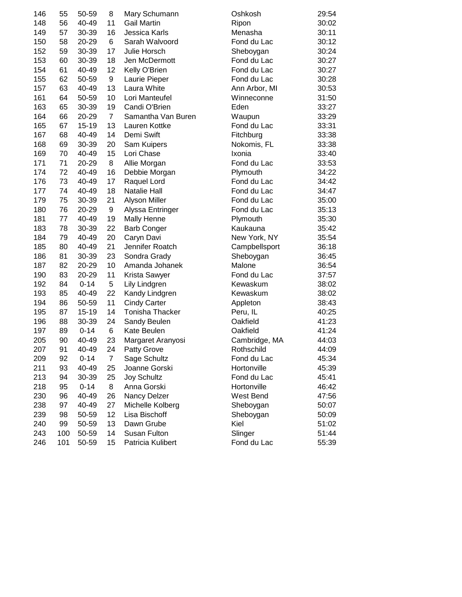| 146 | 55  | 50-59     | 8              | Mary Schumann       | Oshkosh       | 29:54 |
|-----|-----|-----------|----------------|---------------------|---------------|-------|
| 148 | 56  | 40-49     | 11             | <b>Gail Martin</b>  | Ripon         | 30:02 |
| 149 | 57  | 30-39     | 16             | Jessica Karls       | Menasha       | 30:11 |
| 150 | 58  | 20-29     | 6              | Sarah Walvoord      | Fond du Lac   | 30:12 |
| 152 | 59  | 30-39     | 17             | Julie Horsch        | Sheboygan     | 30:24 |
| 153 | 60  | 30-39     | 18             | Jen McDermott       | Fond du Lac   | 30:27 |
| 154 | 61  | 40-49     | 12             | Kelly O'Brien       | Fond du Lac   | 30:27 |
| 155 | 62  | 50-59     | 9              | Laurie Pieper       | Fond du Lac   | 30:28 |
| 157 | 63  | 40-49     | 13             | Laura White         | Ann Arbor, MI | 30:53 |
| 161 | 64  | 50-59     | 10             | Lori Manteufel      | Winneconne    | 31:50 |
| 163 | 65  | 30-39     | 19             | Candi O'Brien       | Eden          | 33:27 |
| 164 | 66  | 20-29     | $\overline{7}$ | Samantha Van Buren  | Waupun        | 33:29 |
| 165 | 67  | $15 - 19$ | 13             | Lauren Kottke       | Fond du Lac   | 33:31 |
| 167 | 68  | 40-49     | 14             | Demi Swift          | Fitchburg     | 33:38 |
| 168 | 69  | 30-39     | 20             | Sam Kuipers         | Nokomis, FL   | 33:38 |
| 169 | 70  | 40-49     | 15             | Lori Chase          | Ixonia        | 33:40 |
| 171 | 71  | 20-29     | 8              | Allie Morgan        | Fond du Lac   | 33:53 |
| 174 | 72  | 40-49     | 16             | Debbie Morgan       | Plymouth      | 34:22 |
| 176 | 73  | 40-49     | 17             | Raquel Lord         | Fond du Lac   | 34:42 |
| 177 | 74  | 40-49     | 18             | <b>Natalie Hall</b> | Fond du Lac   | 34:47 |
| 179 | 75  | 30-39     | 21             | Alyson Miller       | Fond du Lac   | 35:00 |
| 180 | 76  | 20-29     | 9              | Alyssa Entringer    | Fond du Lac   | 35:13 |
| 181 | 77  | 40-49     | 19             | <b>Mally Henne</b>  | Plymouth      | 35:30 |
| 183 | 78  | 30-39     | 22             | <b>Barb Conger</b>  | Kaukauna      | 35:42 |
| 184 | 79  | 40-49     | 20             | Caryn Davi          | New York, NY  | 35:54 |
| 185 | 80  | 40-49     | 21             | Jennifer Roatch     | Campbellsport | 36:18 |
| 186 | 81  | 30-39     | 23             | Sondra Grady        | Sheboygan     | 36:45 |
| 187 | 82  | 20-29     | 10             | Amanda Johanek      | Malone        | 36:54 |
| 190 | 83  | 20-29     | 11             | Krista Sawyer       | Fond du Lac   | 37:57 |
| 192 | 84  | $0 - 14$  | 5              | Lily Lindgren       | Kewaskum      | 38:02 |
| 193 | 85  | 40-49     | 22             | Kandy Lindgren      | Kewaskum      | 38:02 |
| 194 | 86  | 50-59     | 11             | <b>Cindy Carter</b> | Appleton      | 38:43 |
| 195 | 87  | 15-19     | 14             | Tonisha Thacker     | Peru, IL      | 40:25 |
| 196 | 88  | 30-39     | 24             | Sandy Beulen        | Oakfield      | 41:23 |
| 197 | 89  | $0 - 14$  | 6              | Kate Beulen         | Oakfield      | 41:24 |
| 205 | 90  | 40-49     | 23             | Margaret Aranyosi   | Cambridge, MA | 44:03 |
| 207 | 91  | 40-49     | 24             | Patty Grove         | Rothschild    | 44:09 |
| 209 | 92  | $0 - 14$  | $\overline{7}$ | Sage Schultz        | Fond du Lac   | 45:34 |
| 211 | 93  | 40-49     | 25             | Joanne Gorski       | Hortonville   | 45:39 |
| 213 | 94  | 30-39     | 25             | Joy Schultz         | Fond du Lac   | 45:41 |
| 218 | 95  | $0 - 14$  | 8              | Anna Gorski         | Hortonville   | 46:42 |
| 230 | 96  | 40-49     | 26             | Nancy Delzer        | West Bend     | 47:56 |
| 238 | 97  | 40-49     | 27             | Michelle Kolberg    | Sheboygan     | 50:07 |
| 239 | 98  | 50-59     | 12             | Lisa Bischoff       | Sheboygan     | 50:09 |
| 240 | 99  | 50-59     | 13             | Dawn Grube          | Kiel          | 51:02 |
| 243 | 100 | 50-59     | 14             | Susan Fulton        | Slinger       | 51:44 |
| 246 | 101 | 50-59     | 15             | Patricia Kulibert   | Fond du Lac   | 55:39 |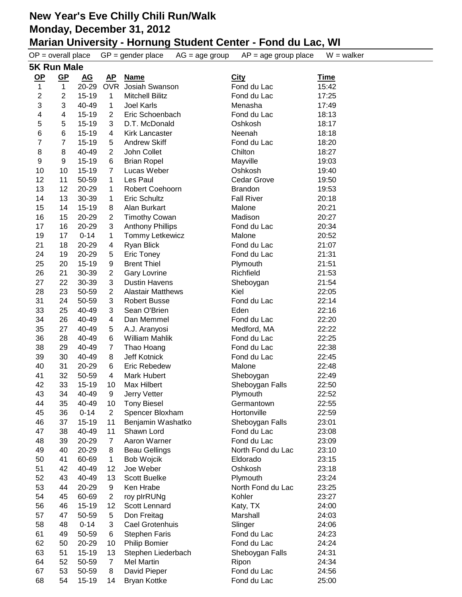| $OP = overall place$ |                           |                  |                | $GP = gender place$<br>$AG = age$ group | $AP = age$ group place      | $W = walker$   |
|----------------------|---------------------------|------------------|----------------|-----------------------------------------|-----------------------------|----------------|
| <b>5K Run Male</b>   |                           |                  |                |                                         |                             |                |
| $OP$                 | $\underline{\mathsf{GP}}$ | $\underline{AG}$ | <u>AP</u>      | <b>Name</b>                             | <b>City</b>                 | <u>Time</u>    |
| 1                    | $\mathbf{1}$              | 20-29            | <b>OVR</b>     | Josiah Swanson                          | Fond du Lac                 | 15:42          |
| $\boldsymbol{2}$     | 2                         | $15 - 19$        | 1              | <b>Mitchell Bilitz</b>                  | Fond du Lac                 | 17:25          |
| 3                    | 3                         | 40-49            | 1              | <b>Joel Karls</b>                       | Menasha                     | 17:49          |
| 4                    | 4                         | $15 - 19$        | $\overline{2}$ | Eric Schoenbach                         | Fond du Lac                 | 18:13          |
| 5                    | 5                         | $15 - 19$        | 3              | D.T. McDonald                           | Oshkosh                     | 18:17          |
| 6                    | 6                         | $15 - 19$        | 4              | <b>Kirk Lancaster</b>                   | Neenah                      | 18:18          |
| 7                    | 7                         | $15 - 19$        | 5              | <b>Andrew Skiff</b>                     | Fond du Lac                 | 18:20          |
| $\,8\,$              | 8                         | 40-49            | $\overline{c}$ | John Collet                             | Chilton                     | 18:27          |
| $\boldsymbol{9}$     | 9                         | $15 - 19$        | 6              | <b>Brian Ropel</b>                      | Mayville                    | 19:03          |
| 10                   | 10                        | $15 - 19$        | $\overline{7}$ | Lucas Weber                             | Oshkosh                     | 19:40          |
| 12                   | 11                        | 50-59            | 1              | Les Paul                                | Cedar Grove                 | 19:50          |
| 13                   | 12                        | 20-29            | 1              | Robert Coehoorn                         | <b>Brandon</b>              | 19:53          |
| 14                   | 13                        | 30-39            | 1              | Eric Schultz                            | <b>Fall River</b>           | 20:18          |
| 15                   | 14                        | $15 - 19$        | 8              | Alan Burkart                            | Malone                      | 20:21          |
| 16                   | 15                        | 20-29            | $\overline{c}$ | <b>Timothy Cowan</b>                    | Madison                     | 20:27          |
| 17                   | 16                        | 20-29            | 3              | <b>Anthony Phillips</b>                 | Fond du Lac                 | 20:34          |
| 19                   | 17                        | $0 - 14$         | 1              | Tommy Letkewicz                         | Malone                      | 20:52          |
| 21                   | 18                        | 20-29            | 4              | <b>Ryan Blick</b>                       | Fond du Lac                 | 21:07          |
| 24                   | 19                        | 20-29            | 5              | <b>Eric Toney</b>                       | Fond du Lac                 | 21:31          |
| 25                   | 20                        | $15 - 19$        | 9              | <b>Brent Thiel</b>                      | Plymouth                    | 21:51          |
| 26                   | 21                        | 30-39            | $\overline{c}$ | <b>Gary Lovrine</b>                     | Richfield                   | 21:53          |
| 27                   | 22                        | 30-39            | 3              | <b>Dustin Havens</b>                    | Sheboygan                   | 21:54          |
| 28                   | 23                        | 50-59            | 2              | <b>Alastair Matthews</b>                | Kiel                        | 22:05          |
| 31                   | 24                        | 50-59            | 3              | <b>Robert Busse</b>                     | Fond du Lac                 | 22:14          |
| 33                   | 25                        | 40-49            | 3              | Sean O'Brien                            | Eden                        | 22:16          |
| 34                   | 26                        | 40-49            | 4              | Dan Memmel                              | Fond du Lac                 | 22:20          |
| 35                   | 27                        | 40-49            | 5              | A.J. Aranyosi                           | Medford, MA                 | 22:22          |
| 36                   | 28                        | 40-49            | 6              | <b>William Mahlik</b>                   | Fond du Lac                 | 22:25          |
| 38<br>39             | 29<br>30                  | 40-49            | $\overline{7}$ | Thao Hoang<br>Jeff Kotnick              | Fond du Lac                 | 22:38          |
| 40                   | 31                        | 40-49<br>20-29   | 8              | Eric Rebedew                            | Fond du Lac<br>Malone       | 22:45<br>22:48 |
| 41                   | 32                        | 50-59            | 6<br>4         | Mark Hubert                             |                             | 22:49          |
| 42                   | 33                        | $15 - 19$        | 10             | Max Hilbert                             | Sheboygan                   | 22:50          |
| 43                   | 34                        | 40-49            | 9              | Jerry Vetter                            | Sheboygan Falls<br>Plymouth | 22:52          |
| 44                   | 35                        | 40-49            | 10             | <b>Tony Biesel</b>                      | Germantown                  | 22:55          |
| 45                   | 36                        | $0 - 14$         | $\overline{2}$ | Spencer Bloxham                         | Hortonville                 | 22:59          |
| 46                   | 37                        | 15-19            | 11             | Benjamin Washatko                       | Sheboygan Falls             | 23:01          |
| 47                   | 38                        | 40-49            | 11             | Shawn Lord                              | Fond du Lac                 | 23:08          |
| 48                   | 39                        | 20-29            | $\overline{7}$ | Aaron Warner                            | Fond du Lac                 | 23:09          |
| 49                   | 40                        | 20-29            | 8              | <b>Beau Gellings</b>                    | North Fond du Lac           | 23:10          |
| 50                   | 41                        | 60-69            | $\mathbf{1}$   | <b>Bob Wojcik</b>                       | Eldorado                    | 23:15          |
| 51                   | 42                        | 40-49            | 12             | Joe Weber                               | Oshkosh                     | 23:18          |
| 52                   | 43                        | 40-49            | 13             | Scott Buelke                            | Plymouth                    | 23:24          |
| 53                   | 44                        | 20-29            | 9              | Ken Hrabe                               | North Fond du Lac           | 23:25          |
| 54                   | 45                        | 60-69            | $\overline{c}$ | roy plrRUNg                             | Kohler                      | 23:27          |
| 56                   | 46                        | 15-19            | 12             | Scott Lennard                           | Katy, TX                    | 24:00          |
| 57                   | 47                        | 50-59            | 5              | Don Freitag                             | Marshall                    | 24:03          |
| 58                   | 48                        | $0 - 14$         | 3              | Cael Grotenhuis                         | Slinger                     | 24:06          |
| 61                   | 49                        | 50-59            | 6              | <b>Stephen Faris</b>                    | Fond du Lac                 | 24:23          |
| 62                   | 50                        | 20-29            | 10             | <b>Philip Bomier</b>                    | Fond du Lac                 | 24:24          |
| 63                   | 51                        | 15-19            | 13             | Stephen Liederbach                      | Sheboygan Falls             | 24:31          |
| 64                   | 52                        | 50-59            | 7              | <b>Mel Martin</b>                       | Ripon                       | 24:34          |
| 67                   | 53                        | 50-59            | 8              | David Pieper                            | Fond du Lac                 | 24:56          |
| 68                   | 54                        | 15-19            | 14             | <b>Bryan Kottke</b>                     | Fond du Lac                 | 25:00          |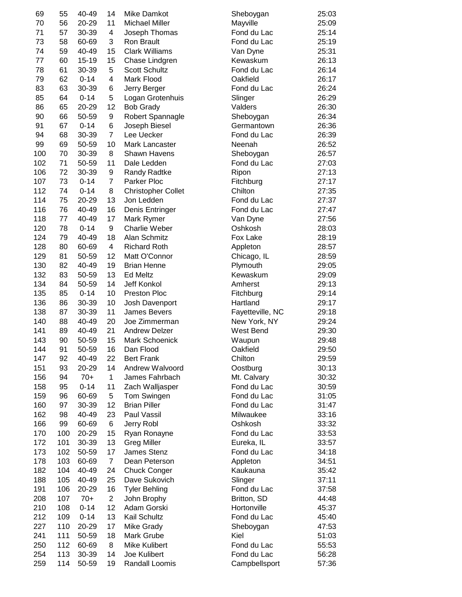| 69  | 55  | 40-49     | 14             | Mike Damkot               | Sheboygan        | 25:03 |
|-----|-----|-----------|----------------|---------------------------|------------------|-------|
| 70  | 56  | 20-29     | 11             | <b>Michael Miller</b>     | Mayville         | 25:09 |
| 71  | 57  | 30-39     | 4              | Joseph Thomas             | Fond du Lac      | 25:14 |
| 73  | 58  | 60-69     | 3              | Ron Brault                | Fond du Lac      | 25:19 |
| 74  | 59  | 40-49     | 15             | <b>Clark Williams</b>     | Van Dyne         | 25:31 |
| 77  | 60  | $15 - 19$ | 15             | Chase Lindgren            | Kewaskum         | 26:13 |
| 78  | 61  | 30-39     | 5              | Scott Schultz             | Fond du Lac      | 26:14 |
| 79  | 62  | $0 - 14$  | 4              | Mark Flood                | Oakfield         | 26:17 |
| 83  | 63  | 30-39     | 6              | Jerry Berger              | Fond du Lac      | 26:24 |
| 85  | 64  | $0 - 14$  | 5              | Logan Grotenhuis          | Slinger          | 26:29 |
| 86  | 65  | 20-29     | 12             | <b>Bob Grady</b>          | Valders          | 26:30 |
| 90  | 66  | 50-59     | 9              | Robert Spannagle          | Sheboygan        | 26:34 |
| 91  | 67  | $0 - 14$  | 6              | Joseph Biesel             | Germantown       | 26:36 |
| 94  | 68  | 30-39     | $\overline{7}$ | Lee Uecker                | Fond du Lac      | 26:39 |
| 99  | 69  | 50-59     | 10             | Mark Lancaster            | Neenah           | 26:52 |
| 100 | 70  | 30-39     | 8              | Shawn Havens              | Sheboygan        | 26:57 |
| 102 | 71  | 50-59     | 11             | Dale Ledden               | Fond du Lac      | 27:03 |
| 106 | 72  | 30-39     | 9              | Randy Radtke              | Ripon            | 27:13 |
| 107 | 73  | $0 - 14$  | $\overline{7}$ | Parker Ploc               | Fitchburg        | 27:17 |
| 112 | 74  | $0 - 14$  | 8              |                           | Chilton          | 27:35 |
|     |     | 20-29     |                | <b>Christopher Collet</b> |                  |       |
| 114 | 75  |           | 13             | Jon Ledden                | Fond du Lac      | 27:37 |
| 116 | 76  | 40-49     | 16             | Denis Entringer           | Fond du Lac      | 27:47 |
| 118 | 77  | 40-49     | 17             | Mark Rymer                | Van Dyne         | 27:56 |
| 120 | 78  | $0 - 14$  | 9              | Charlie Weber             | Oshkosh          | 28:03 |
| 124 | 79  | 40-49     | 18             | Alan Schmitz              | Fox Lake         | 28:19 |
| 128 | 80  | 60-69     | 4              | <b>Richard Roth</b>       | Appleton         | 28:57 |
| 129 | 81  | 50-59     | 12             | Matt O'Connor             | Chicago, IL      | 28:59 |
| 130 | 82  | 40-49     | 19             | <b>Brian Henne</b>        | Plymouth         | 29:05 |
| 132 | 83  | 50-59     | 13             | <b>Ed Meltz</b>           | Kewaskum         | 29:09 |
| 134 | 84  | 50-59     | 14             | Jeff Konkol               | Amherst          | 29:13 |
| 135 | 85  | $0 - 14$  | 10             | Preston Ploc              | Fitchburg        | 29:14 |
| 136 | 86  | 30-39     | 10             | Josh Davenport            | Hartland         | 29:17 |
| 138 | 87  | 30-39     | 11             | James Bevers              | Fayetteville, NC | 29:18 |
| 140 | 88  | 40-49     | 20             | Joe Zimmerman             | New York, NY     | 29:24 |
| 141 | 89  | 40-49     | 21             | <b>Andrew Delzer</b>      | West Bend        | 29:30 |
| 143 | 90  | 50-59     | 15             | Mark Schoenick            | Waupun           | 29:48 |
| 144 | 91  | 50-59     | 16             | Dan Flood                 | Oakfield         | 29:50 |
| 147 | 92  | 40-49     | 22             | <b>Bert Frank</b>         | Chilton          | 29:59 |
| 151 | 93  | 20-29     | 14             | Andrew Walvoord           | Oostburg         | 30:13 |
| 156 | 94  | $70+$     | $\mathbf 1$    | James Fahrbach            | Mt. Calvary      | 30:32 |
| 158 | 95  | $0 - 14$  | 11             | Zach Walljasper           | Fond du Lac      | 30:59 |
| 159 | 96  | 60-69     | 5              | Tom Swingen               | Fond du Lac      | 31:05 |
| 160 | 97  | 30-39     | 12             | <b>Brian Piller</b>       | Fond du Lac      | 31:47 |
| 162 | 98  | 40-49     | 23             | Paul Vassil               | Milwaukee        | 33:16 |
| 166 | 99  | 60-69     | 6              | Jerry Robl                | Oshkosh          | 33:32 |
| 170 | 100 | 20-29     | 15             | Ryan Ronayne              | Fond du Lac      | 33:53 |
| 172 | 101 | 30-39     | 13             | <b>Greg Miller</b>        | Eureka, IL       | 33:57 |
| 173 | 102 | 50-59     | 17             | James Stenz               | Fond du Lac      | 34:18 |
| 178 | 103 | 60-69     | $\overline{7}$ | Dean Peterson             | Appleton         | 34:51 |
| 182 | 104 | 40-49     | 24             | <b>Chuck Conger</b>       | Kaukauna         | 35:42 |
| 188 | 105 | 40-49     | 25             | Dave Sukovich             | Slinger          | 37:11 |
| 191 | 106 | 20-29     | 16             | <b>Tyler Behling</b>      | Fond du Lac      | 37:58 |
| 208 | 107 | $70+$     | $\overline{c}$ | John Brophy               | Britton, SD      | 44:48 |
| 210 | 108 | $0 - 14$  | 12             | Adam Gorski               | Hortonville      | 45:37 |
|     |     |           | 13             |                           |                  |       |
| 212 | 109 | $0 - 14$  |                | Kail Schultz              | Fond du Lac      | 45:40 |
| 227 | 110 | 20-29     | 17             | Mike Grady                | Sheboygan        | 47:53 |
| 241 | 111 | 50-59     | 18             | Mark Grube                | Kiel             | 51:03 |
| 250 | 112 | 60-69     | 8              | Mike Kulibert             | Fond du Lac      | 55:53 |
| 254 | 113 | 30-39     | 14             | Joe Kulibert              | Fond du Lac      | 56:28 |
| 259 | 114 | 50-59     | 19             | Randall Loomis            | Campbellsport    | 57:36 |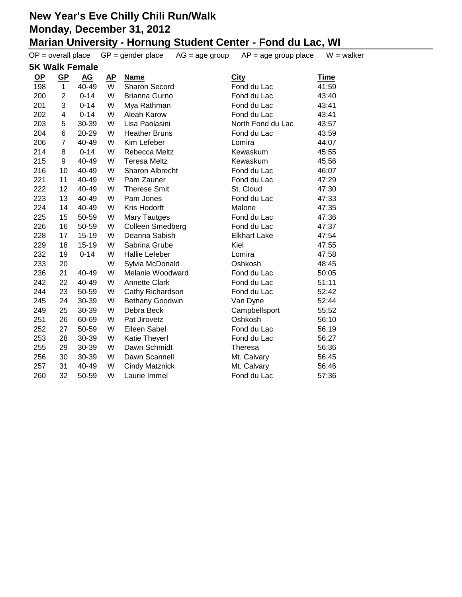|           | $OP = overall place$ |                       |                         | $GP = gender place$<br>$AG = age$ group | $AP = age$ group place | $W = walker$ |
|-----------|----------------------|-----------------------|-------------------------|-----------------------------------------|------------------------|--------------|
|           |                      | <b>5K Walk Female</b> |                         |                                         |                        |              |
| <u>OP</u> | $GP$                 | $\underline{AG}$      | $\mathbf{A} \mathbf{P}$ | <b>Name</b>                             | <b>City</b>            | <b>Time</b>  |
| 198       | $\mathbf{1}$         | 40-49                 | W                       | <b>Sharon Secord</b>                    | Fond du Lac            | 41:59        |
| 200       | 2                    | $0 - 14$              | W                       | Brianna Gurno                           | Fond du Lac            | 43:40        |
| 201       | 3                    | $0 - 14$              | W                       | Mya Rathman                             | Fond du Lac            | 43:41        |
| 202       | 4                    | $0 - 14$              | W                       | Aleah Karow                             | Fond du Lac            | 43:41        |
| 203       | 5                    | 30-39                 | W                       | Lisa Paolasini                          | North Fond du Lac      | 43:57        |
| 204       | 6                    | 20-29                 | W                       | <b>Heather Bruns</b>                    | Fond du Lac            | 43:59        |
| 206       | $\overline{7}$       | 40-49                 | W                       | Kim Lefeber                             | Lomira                 | 44:07        |
| 214       | 8                    | $0 - 14$              | W                       | Rebecca Meltz                           | Kewaskum               | 45:55        |
| 215       | 9                    | 40-49                 | W                       | <b>Teresa Meltz</b>                     | Kewaskum               | 45:56        |
| 216       | 10                   | 40-49                 | W                       | Sharon Albrecht                         | Fond du Lac            | 46:07        |
| 221       | 11                   | 40-49                 | W                       | Pam Zauner                              | Fond du Lac            | 47:29        |
| 222       | 12                   | 40-49                 | W                       | <b>Therese Smit</b>                     | St. Cloud              | 47:30        |
| 223       | 13                   | 40-49                 | W                       | Pam Jones                               | Fond du Lac            | 47:33        |
| 224       | 14                   | 40-49                 | W                       | Kris Hodorft                            | Malone                 | 47:35        |
| 225       | 15                   | 50-59                 | W                       | <b>Mary Tautges</b>                     | Fond du Lac            | 47:36        |
| 226       | 16                   | 50-59                 | W                       | Colleen Smedberg                        | Fond du Lac            | 47:37        |
| 228       | 17                   | $15 - 19$             | W                       | Deanna Sabish                           | <b>Elkhart Lake</b>    | 47:54        |
| 229       | 18                   | $15 - 19$             | W                       | Sabrina Grube                           | Kiel                   | 47:55        |
| 232       | 19                   | $0 - 14$              | W                       | <b>Hallie Lefeber</b>                   | Lomira                 | 47:58        |
| 233       | 20                   |                       | W                       | Sylvia McDonald                         | Oshkosh                | 48:45        |
| 236       | 21                   | 40-49                 | W                       | Melanie Woodward                        | Fond du Lac            | 50:05        |
| 242       | 22                   | 40-49                 | W                       | <b>Annette Clark</b>                    | Fond du Lac            | 51:11        |
| 244       | 23                   | 50-59                 | W                       | Cathy Richardson                        | Fond du Lac            | 52:42        |
| 245       | 24                   | 30-39                 | W                       | <b>Bethany Goodwin</b>                  | Van Dyne               | 52:44        |
| 249       | 25                   | 30-39                 | W                       | Debra Beck                              | Campbellsport          | 55:52        |
| 251       | 26                   | 60-69                 | W                       | Pat Jirovetz                            | Oshkosh                | 56:10        |
| 252       | 27                   | 50-59                 | W                       | Eileen Sabel                            | Fond du Lac            | 56:19        |
| 253       | 28                   | 30-39                 | W                       | Katie Theyerl                           | Fond du Lac            | 56:27        |
| 255       | 29                   | 30-39                 | W                       | Dawn Schmidt                            | <b>Theresa</b>         | 56:36        |
| 256       | 30                   | 30-39                 | W                       | Dawn Scannell                           | Mt. Calvary            | 56:45        |
| 257       | 31                   | 40-49                 | W                       | <b>Cindy Matznick</b>                   | Mt. Calvary            | 56:46        |
| 260       | 32                   | 50-59                 | W                       | Laurie Immel                            | Fond du Lac            | 57:36        |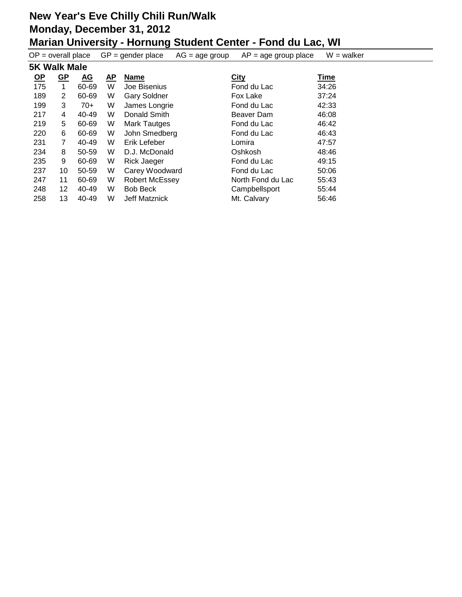| $OP = overall place$ |                     |                           |           | $GP = gender place$   | $AG = age$ group | $AP = age$ group place | $W = walker$ |  |  |  |
|----------------------|---------------------|---------------------------|-----------|-----------------------|------------------|------------------------|--------------|--|--|--|
|                      | <b>5K Walk Male</b> |                           |           |                       |                  |                        |              |  |  |  |
| $OP$                 | <u>GP</u>           | $\underline{\mathbf{AG}}$ | <u>AP</u> | <b>Name</b>           |                  | <b>City</b>            | <u>Time</u>  |  |  |  |
| 175                  | 1                   | 60-69                     | W         | Joe Bisenius          |                  | Fond du Lac            | 34:26        |  |  |  |
| 189                  | $\overline{2}$      | 60-69                     | W         | <b>Gary Soldner</b>   |                  | Fox Lake               | 37:24        |  |  |  |
| 199                  | 3                   | 70+                       | W         | James Longrie         |                  | Fond du Lac            | 42:33        |  |  |  |
| 217                  | 4                   | 40-49                     | W         | Donald Smith          |                  | Beaver Dam             | 46:08        |  |  |  |
| 219                  | 5                   | 60-69                     | W         | Mark Tautges          |                  | Fond du Lac            | 46:42        |  |  |  |
| 220                  | 6                   | 60-69                     | W         | John Smedberg         |                  | Fond du Lac            | 46:43        |  |  |  |
| 231                  | 7                   | 40-49                     | W         | Erik Lefeber          |                  | Lomira                 | 47:57        |  |  |  |
| 234                  | 8                   | 50-59                     | W         | D.J. McDonald         |                  | Oshkosh                | 48:46        |  |  |  |
| 235                  | 9                   | 60-69                     | W         | <b>Rick Jaeger</b>    |                  | Fond du Lac            | 49:15        |  |  |  |
| 237                  | 10                  | 50-59                     | W         | Carey Woodward        |                  | Fond du Lac            | 50:06        |  |  |  |
| 247                  | 11                  | 60-69                     | W         | <b>Robert McEssey</b> |                  | North Fond du Lac      | 55:43        |  |  |  |
| 248                  | 12                  | 40-49                     | W         | <b>Bob Beck</b>       |                  | Campbellsport          | 55:44        |  |  |  |
| 258                  | 13                  | 40-49                     | W         | Jeff Matznick         |                  | Mt. Calvary            | 56:46        |  |  |  |
|                      |                     |                           |           |                       |                  |                        |              |  |  |  |